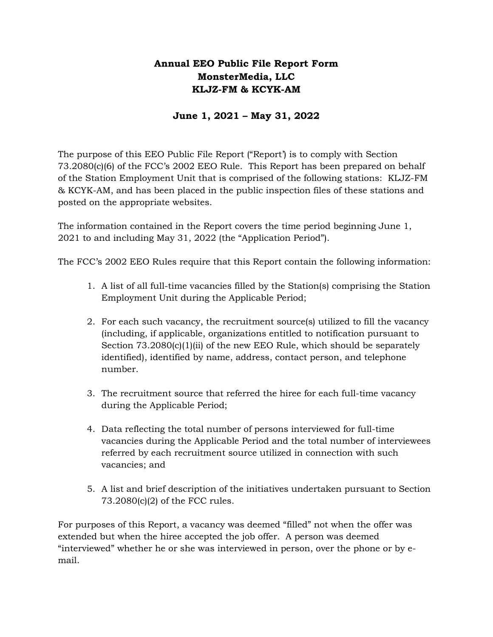## **Annual EEO Public File Report Form MonsterMedia, LLC KLJZ-FM & KCYK-AM**

### **June 1, 2021 – May 31, 2022**

The purpose of this EEO Public File Report ("Report') is to comply with Section 73.2080(c)(6) of the FCC's 2002 EEO Rule. This Report has been prepared on behalf of the Station Employment Unit that is comprised of the following stations: KLJZ-FM & KCYK-AM, and has been placed in the public inspection files of these stations and posted on the appropriate websites.

The information contained in the Report covers the time period beginning June 1, 2021 to and including May 31, 2022 (the "Application Period").

The FCC's 2002 EEO Rules require that this Report contain the following information:

- 1. A list of all full-time vacancies filled by the Station(s) comprising the Station Employment Unit during the Applicable Period;
- 2. For each such vacancy, the recruitment source(s) utilized to fill the vacancy (including, if applicable, organizations entitled to notification pursuant to Section  $73.2080(c)(1)(ii)$  of the new EEO Rule, which should be separately identified), identified by name, address, contact person, and telephone number.
- 3. The recruitment source that referred the hiree for each full-time vacancy during the Applicable Period;
- 4. Data reflecting the total number of persons interviewed for full-time vacancies during the Applicable Period and the total number of interviewees referred by each recruitment source utilized in connection with such vacancies; and
- 5. A list and brief description of the initiatives undertaken pursuant to Section 73.2080(c)(2) of the FCC rules.

For purposes of this Report, a vacancy was deemed "filled" not when the offer was extended but when the hiree accepted the job offer. A person was deemed "interviewed" whether he or she was interviewed in person, over the phone or by email.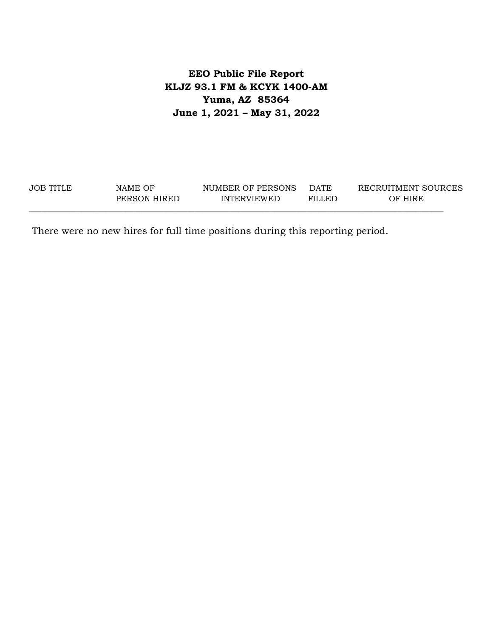# **EEO Public File Report KLJZ 93.1 FM & KCYK 1400-AM Yuma, AZ 85364 June 1, 2021 – May 31, 2022**

| JOB TITLE | NAME OF      | NUMBER OF PERSONS  | <b>DATE</b> | RECRUITMENT SOURCES |
|-----------|--------------|--------------------|-------------|---------------------|
|           | PERSON HIRED | <b>INTERVIEWED</b> | FILLED      | OF HIRE             |

There were no new hires for full time positions during this reporting period.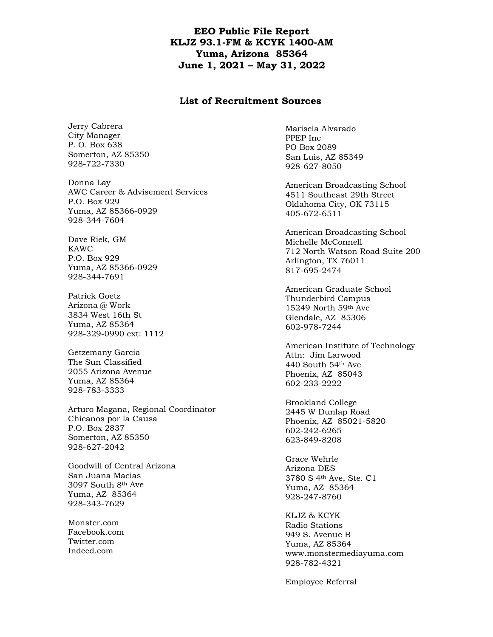### **EEO Public File Report KLJZ 93.1-FM & KCYK 1400-AM Yuma, Arizona 85364 June 1, 2021 – May 31, 2022**

#### **List of Recruitment Sources**

Jerry Cabrera City Manager P. O. Box 638 Somerton, AZ 85350 928-722-7330

Donna Lay AWC Career & Advisement Services P.O. Box 929 Yuma, AZ 85366-0929 928-344-7604

Dave Riek, GM KAWC P.O. Box 929 Yuma, AZ 85366-0929 928-344-7691

Patrick Goetz Arizona @ Work 3834 West 16th St Yuma, AZ 85364 928-329-0990 ext: 1112

Getzemany Garcia The Sun Classified 2055 Arizona Avenue Yuma, AZ 85364 928-783-3333

Arturo Magana, Regional Coordinator Chicanos por la Causa P.O. Box 2837 Somerton, AZ 85350 928-627-2042

Goodwill of Central Arizona San Juana Macias 3097 South 8th Ave Yuma, AZ 85364 928-343-7629

Monster.com Facebook.com Twitter.com Indeed.com

Marisela Alvarado PPEP Inc PO Box 2089 San Luis, AZ 85349 928-627-8050

American Broadcasting School 4511 Southeast 29th Street Oklahoma City, OK 73115 405-672-6511

American Broadcasting School Michelle McConnell 712 North Watson Road Suite 200 Arlington, TX 76011 817-695-2474

American Graduate School Thunderbird Campus 15249 North 59th Ave Glendale, AZ 85306 602-978-7244

American Institute of Technology Attn: Jim Larwood 440 South 54th Ave Phoenix, AZ 85043 602-233-2222

Brookland College 2445 W Dunlap Road Phoenix, AZ 85021-5820 602-242-6265 623-849-8208

Grace Wehrle Arizona DES 3780 S 4th Ave, Ste. C1 Yuma, AZ 85364 928-247-8760

KLJZ & KCYK Radio Stations 949 S. Avenue B Yuma, AZ 85364 www.monstermediayuma.com 928-782-4321

Employee Referral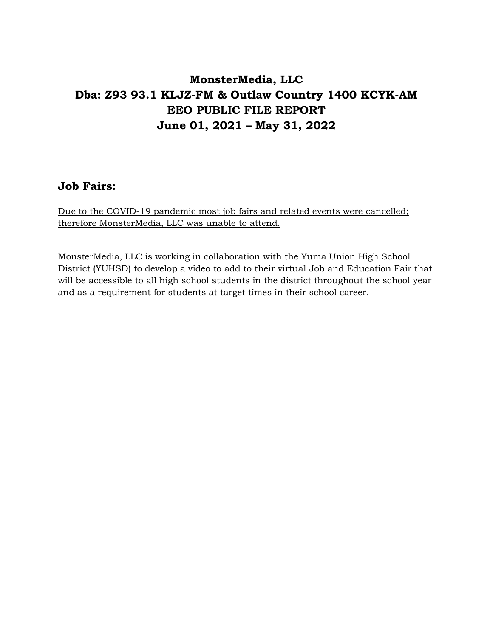# **MonsterMedia, LLC Dba: Z93 93.1 KLJZ-FM & Outlaw Country 1400 KCYK-AM EEO PUBLIC FILE REPORT June 01, 2021 – May 31, 2022**

# **Job Fairs:**

Due to the COVID-19 pandemic most job fairs and related events were cancelled; therefore MonsterMedia, LLC was unable to attend.

MonsterMedia, LLC is working in collaboration with the Yuma Union High School District (YUHSD) to develop a video to add to their virtual Job and Education Fair that will be accessible to all high school students in the district throughout the school year and as a requirement for students at target times in their school career.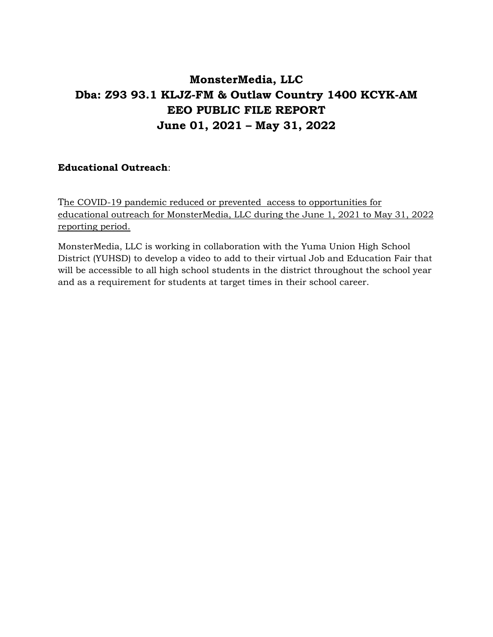# **MonsterMedia, LLC Dba: Z93 93.1 KLJZ-FM & Outlaw Country 1400 KCYK-AM EEO PUBLIC FILE REPORT June 01, 2021 – May 31, 2022**

### **Educational Outreach**:

The COVID-19 pandemic reduced or prevented access to opportunities for educational outreach for MonsterMedia, LLC during the June 1, 2021 to May 31, 2022 reporting period.

MonsterMedia, LLC is working in collaboration with the Yuma Union High School District (YUHSD) to develop a video to add to their virtual Job and Education Fair that will be accessible to all high school students in the district throughout the school year and as a requirement for students at target times in their school career.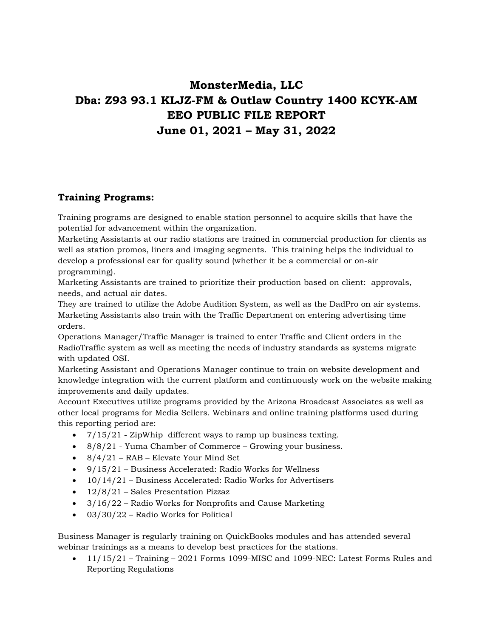# **MonsterMedia, LLC Dba: Z93 93.1 KLJZ-FM & Outlaw Country 1400 KCYK-AM EEO PUBLIC FILE REPORT June 01, 2021 – May 31, 2022**

### **Training Programs:**

Training programs are designed to enable station personnel to acquire skills that have the potential for advancement within the organization.

Marketing Assistants at our radio stations are trained in commercial production for clients as well as station promos, liners and imaging segments. This training helps the individual to develop a professional ear for quality sound (whether it be a commercial or on-air programming).

Marketing Assistants are trained to prioritize their production based on client: approvals, needs, and actual air dates.

They are trained to utilize the Adobe Audition System, as well as the DadPro on air systems. Marketing Assistants also train with the Traffic Department on entering advertising time orders.

Operations Manager/Traffic Manager is trained to enter Traffic and Client orders in the RadioTraffic system as well as meeting the needs of industry standards as systems migrate with updated OSI.

Marketing Assistant and Operations Manager continue to train on website development and knowledge integration with the current platform and continuously work on the website making improvements and daily updates.

Account Executives utilize programs provided by the Arizona Broadcast Associates as well as other local programs for Media Sellers. Webinars and online training platforms used during this reporting period are:

- 7/15/21 ZipWhip different ways to ramp up business texting.
- 8/8/21 Yuma Chamber of Commerce Growing your business.
- 8/4/21 RAB Elevate Your Mind Set
- $\bullet$  9/15/21 Business Accelerated: Radio Works for Wellness
- 10/14/21 Business Accelerated: Radio Works for Advertisers
- 12/8/21 Sales Presentation Pizzaz
- 3/16/22 Radio Works for Nonprofits and Cause Marketing
- 03/30/22 Radio Works for Political

Business Manager is regularly training on QuickBooks modules and has attended several webinar trainings as a means to develop best practices for the stations.

• 11/15/21 – Training – 2021 Forms 1099-MISC and 1099-NEC: Latest Forms Rules and Reporting Regulations